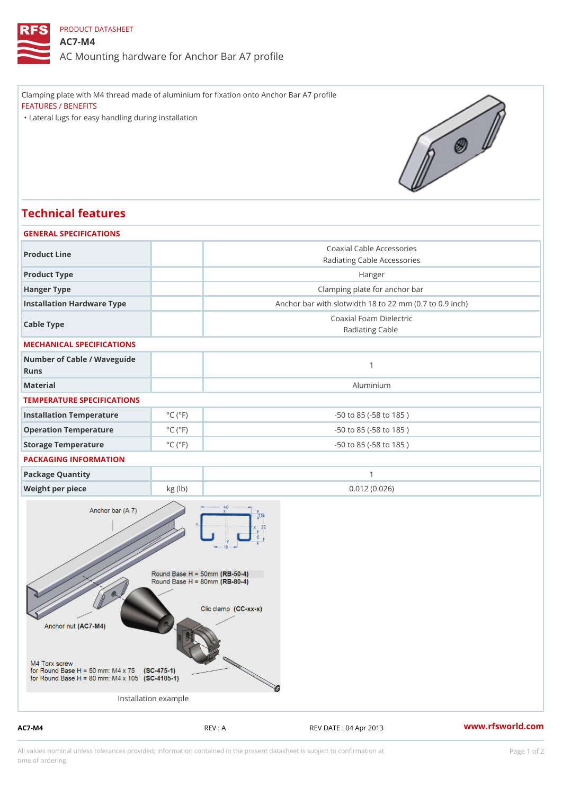## PRODUCT DATASHEET

## AC7-M4

AC Mounting hardware for Anchor Bar A7 profile

Clamping plate with M4 thread made of aluminium for fixation onto Anchor Bar A7 profile FEATURES / BENEFITS "Lateral lugs for easy handling during installation

## Technical features

| GENERAL SPECIFICATIONS              |                              |                                                          |
|-------------------------------------|------------------------------|----------------------------------------------------------|
| Product Line                        |                              | Coaxial Cable Accessories<br>Radiating Cable Accessories |
| Product Type                        |                              | Hanger                                                   |
| Hanger Type                         |                              | Clamping plate for anchor bar                            |
| Installation Hardware Type          |                              | Anchor bar with slotwidth 18 to 22 mm (0.7 to 0.9 ind    |
| Cable Type                          |                              | Coaxial Foam Dielectric<br>Radiating Cable               |
| MECHANICAL SPECIFICATIONS           |                              |                                                          |
| Number of Cable / Waveguide<br>Runs |                              | $\mathbf{1}$                                             |
| Material                            |                              | Aluminium                                                |
| TEMPERATURE SPECIFICATIONS          |                              |                                                          |
| Installation Temperature            | $^{\circ}$ C ( $^{\circ}$ F  | $-50$ to $85$ ( $-58$ to $185$ )                         |
| Operation Temperature               | $^{\circ}$ C ( $^{\circ}$ F  | $-50$ to $85$ ( $-58$ to $185$ )                         |
| Storage Temperature                 | $^{\circ}$ C ( $^{\circ}$ F) | $-50$ to $85$ ( $-58$ to $185$ )                         |
| PACKAGING INFORMATION               |                              |                                                          |
| Package Quantity                    |                              | $\mathbf{1}$                                             |
| Weight per piece                    | kg (lb)                      | 0.012(0.026)                                             |

Installation example

AC7-M4 REV : A REV : A REV DATE : 04 Apr 2013 WWW.rfsworld.com